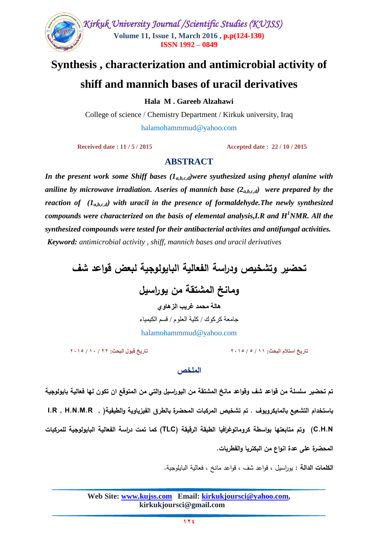

# **Synthesis , characterization and antimicrobial activity of shiff and mannich bases of uracil derivatives**

**Hala M . Gareeb Alzahawi**

College of science / Chemistry Department / Kirkuk university, Iraq [halamohammmud@yahoo.com](mailto:halamohammmud@yahoo.com)

 **Received date : 11 / 5 / 2015 Accepted date : 22 / 10 / 2015**

## **ABSTRACT**

*In the present work some Shiff bases (1a,b,c,d)were syuthesized using phenyl alanine with aniline by microwave irradiation. Aseries of mannich base (2<sub><i>a,b,c,d)* were prepared by the</sub> *reaction of (1a,b,c,d) with uracil in the presence of formaldehyde.The newly synthesized compounds were characterized on the basis of elemental analysis,I.R and H<sup>1</sup>NMR. All the synthesized compounds were tested for their antibacterial activites and antifungal activities. Keyword: antimicrobial activity , shiff, mannich bases and uracil derivatives* 

**تحضير وتشخيص ودراسة الفعالية البايولوجية لبعض قواعد شف**

**ومانخ المشتقة من يوراسيل**

**هبلة محمد غريب السهبوي** جاهعة كركوك / كلية العلوم / قسن الكيوياء [halamohammmud@yahoo.com](mailto:halamohammmud@yahoo.com)

**تبريخ استالم البحث: 44 / 5 / 2045 تبريخ قبول البحث: 22 / 40 / 2045**

#### الملخص

**تم تحضير سمسمة من قواعد شف وقواعد مانخ المشتقة من اليوراسيل والتي من المتوقع ان تكون لها فعالية بايولوجية باستخدام التشعيع بالمايكرويوف . تم تشخيص المركبات المحضرة بالطرق الفيزياوية والطيفية) , R.M.N.H , R.I N.H.C )وتم متابعتها بواسطة كروماتوغرافيا الطبقة الرقيقة )TLC )كما تمت دراسة الفعالية البايولوجية لممركبات المحضرة عمى عدة انواع من البكتريا والفطريات.**

**الكممات الدالة :** يوراسيل , قواعد شف , قواعد مانخ , فعالية البايلوجية.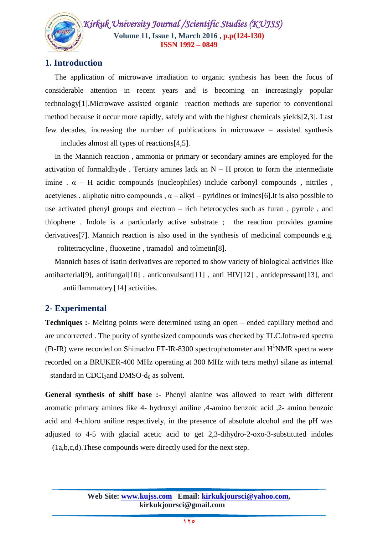# **1. Introduction**

 The application of microwave irradiation to organic synthesis has been the focus of considerable attention in recent years and is becoming an increasingly popular technology[1].Microwave assisted organic reaction methods are superior to conventional method because it occur more rapidly, safely and with the highest chemicals yields[2,3]. Last few decades, increasing the number of publications in microwave – assisted synthesis

includes almost all types of reactions[4,5].

 In the Mannich reaction , ammonia or primary or secondary amines are employed for the activation of formaldhyde. Tertiary amines lack an  $N - H$  proton to form the intermediate imine  $\alpha$  – H acidic compounds (nucleophiles) include carbonyl compounds, nitriles, acetylenes, aliphatic nitro compounds,  $\alpha$  – alkyl – pyridines or imines[6]. It is also possible to use activated phenyl groups and electron – rich heterocycles such as furan , pyrrole , and thiophene . Indole is a particularly active substrate ; the reaction provides gramine derivatives[7]. Mannich reaction is also used in the synthesis of medicinal compounds e.g.

rolitetracycline , fluoxetine , tramadol and tolmetin[8].

 Mannich bases of isatin derivatives are reported to show variety of biological activities like antibacterial[9], antifungal[10] , anticonvulsant[11] , anti HIV[12] , antidepressant[13], and antiiflammatory [14] activities.

# **2- Experimental**

**Techniques :-** Melting points were determined using an open – ended capillary method and are uncorrected . The purity of synthesized compounds was checked by TLC.Infra-red spectra (Ft-IR) were recorded on Shimadzu FT-IR-8300 spectrophotometer and  $H<sup>1</sup>NMR$  spectra were recorded on a BRUKER-400 MHz operating at 300 MHz with tetra methyl silane as internal standard in CDCI<sub>3</sub>and DMSO- $d_6$  as solvent.

**General synthesis of shiff base :-** Phenyl alanine was allowed to react with different aromatic primary amines like 4- hydroxyl aniline ,4-amino benzoic acid ,2- amino benzoic acid and 4-chloro aniline respectively, in the presence of absolute alcohol and the pH was adjusted to 4-5 with glacial acetic acid to get 2,3-dihydro-2-oxo-3-substituted indoles (1a,b,c,d).These compounds were directly used for the next step.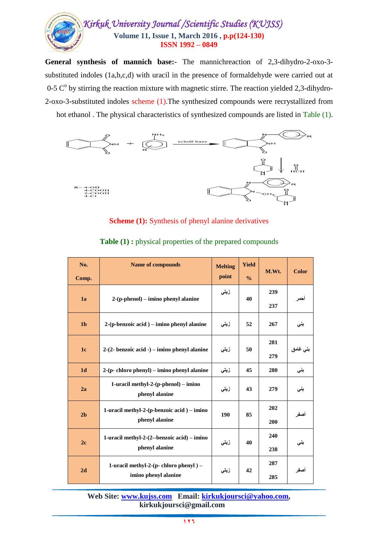

**General synthesis of mannich base:-** The mannichreaction of 2,3-dihydro-2-oxo-3 substituted indoles (1a,b,c,d) with uracil in the presence of formaldehyde were carried out at  $0$ -5  $C<sup>o</sup>$  by stirring the reaction mixture with magnetic stirre. The reaction yielded 2,3-dihydro-2-oxo-3-substituted indoles scheme (1).The synthesized compounds were recrystallized from

hot ethanol . The physical characteristics of synthesized compounds are listed in Table (1).



#### **Scheme (1):** Synthesis of phenyl alanine derivatives

| No.<br>Comp.   | <b>Name of compounds</b>                                             | <b>Melting</b><br>point | <b>Yield</b><br>$\frac{0}{0}$ | M.Wt.      | <b>Color</b> |
|----------------|----------------------------------------------------------------------|-------------------------|-------------------------------|------------|--------------|
| 1a             | $2-(p$ -phenol) – imino phenyl alanine                               | زيتى                    | 40                            | 239<br>237 | احمر         |
| 1 <sub>b</sub> | $2-(p\text{-}benzoic acid) - imino phenyl alanine$                   | زيتي                    | 52                            | 267        | بني          |
| 1 <sub>c</sub> | $2-(2)$ - benzoic acid -) – imino phenyl alanine                     | زيتى                    | 50                            | 281<br>279 | بني غامق     |
| 1 <sub>d</sub> | 2-(p-chloro phenyl) – imino phenyl alanine                           | زيتي                    | 45                            | 280        | بني          |
| 2a             | 1-uracil methyl-2- $(p$ -phenol $)$ – imino<br>phenyl alanine        | زيتي                    | 43                            | 279        | بنی          |
| 2 <sub>b</sub> | 1-uracil methyl-2- $(p$ -benzoic acid $)$ – imino<br>phenyl alanine  | 190                     | 85                            | 202<br>200 | أصفر         |
| 2 <sub>c</sub> | 1-uracil methyl-2-(2--benzoic acid) – imino<br>phenyl alanine        | زيتى                    | 40                            | 240<br>238 | بنی          |
| 2d             | 1-uracil methyl-2- $(p-$ chloro phenyl $)$ –<br>imino phenyl alanine | زيتى                    | 42                            | 287<br>285 | أصفر         |

#### **Table (1) :** physical properties of the prepared compounds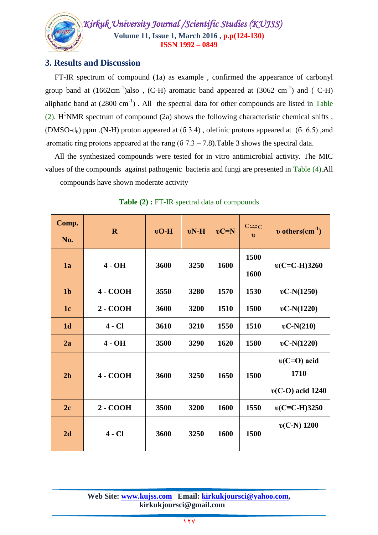

## **3. Results and Discussion**

 FT-IR spectrum of compound (1a) as example , confirmed the appearance of carbonyl group band at  $(1662 \text{cm}^{-1})$ also,  $(C-H)$  aromatic band appeared at  $(3062 \text{ cm}^{-1})$  and  $(C-H)$ aliphatic band at  $(2800 \text{ cm}^{-1})$ . All the spectral data for other compounds are listed in Table (2).  $H<sup>1</sup>NMR$  spectrum of compound (2a) shows the following characteristic chemical shifts,  $(DMSO-d<sub>6</sub>)$  ppm .(N-H) proton appeared at  $(6, 3.4)$ , olefinic protons appeared at  $(6, 6.5)$ , and aromatic ring protons appeared at the rang  $(67.3 - 7.8)$ . Table 3 shows the spectral data.

 All the synthesized compounds were tested for in vitro antimicrobial activity. The MIC values of the compounds against pathogenic bacteria and fungi are presented in Table (4).All compounds have shown moderate activity

| Comp.<br>No.   | $\mathbf{R}$    | $vO-H$ | $vN-H$ | $vC=N$ | $C = C$<br>$\mathbf{v}$ | $v \text{ others}(cm^{-1})$                 |
|----------------|-----------------|--------|--------|--------|-------------------------|---------------------------------------------|
| 1a             | $4 - OH$        | 3600   | 3250   | 1600   | 1500<br>1600            | $v(C=C-H)3260$                              |
| 1 <sub>b</sub> | 4 - COOH        | 3550   | 3280   | 1570   | 1530                    | $vC-N(1250)$                                |
| 1 <sub>c</sub> | $2 - COOH$      | 3600   | 3200   | 1510   | 1500                    | $vC-N(1220)$                                |
| 1 <sub>d</sub> | $4 - CI$        | 3610   | 3210   | 1550   | 1510                    | $vC-N(210)$                                 |
| 2a             | $4 - OH$        | 3500   | 3290   | 1620   | 1580                    | $vC-N(1220)$                                |
| 2 <sub>b</sub> | <b>4 - COOH</b> | 3600   | 3250   | 1650   | 1500                    | $v(C=O)$ acid<br>1710<br>$v(C-O)$ acid 1240 |
| 2c             | $2 - COOH$      | 3500   | 3200   | 1600   | 1550                    | $v(C= C-H) 3250$                            |
| 2d             | $4 - CI$        | 3600   | 3250   | 1600   | 1500                    | $v(C-N)$ 1200                               |

**Table (2) :** FT-IR spectral data of compounds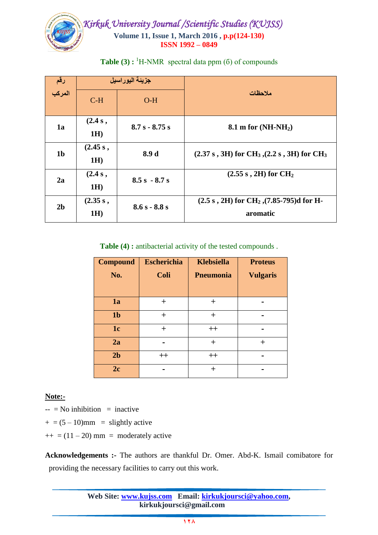

| رقم<br>المركب  |                 | جزيئة اليوراسيل  |                                                                        |  |  |
|----------------|-----------------|------------------|------------------------------------------------------------------------|--|--|
|                | $C-H$           | $O-H$            | ملاحظات                                                                |  |  |
| 1a             | (2.4 s,<br>1H)  | $8.7 s - 8.75 s$ | 8.1 m for $(NH-NH_2)$                                                  |  |  |
| 1 <sub>b</sub> | (2.45 s,<br>1H) | 8.9 d            | $(2.37 s, 3H)$ for CH <sub>3</sub> , $(2.2 s, 3H)$ for CH <sub>3</sub> |  |  |
| 2a             | (2.4 s,<br>1H)  | $8.5 s - 8.7 s$  | $(2.55 s, 2H)$ for $CH2$                                               |  |  |
| 2 <sub>b</sub> | (2.35 s,<br>1H) | $8.6 s - 8.8 s$  | $(2.5 s, 2H)$ for CH <sub>2</sub> , $(7.85-795)d$ for H-<br>aromatic   |  |  |

|  |  | <b>Table (3)</b> : ${}^{1}H$ -NMR spectral data ppm (6) of compounds |
|--|--|----------------------------------------------------------------------|
|  |  |                                                                      |

**Table (4) :** antibacterial activity of the tested compounds .

| <b>Compound</b><br>No. | <b>Escherichia</b><br><b>Coli</b> | <b>Klebsiella</b><br><b>Pneumonia</b> | <b>Proteus</b><br><b>Vulgaris</b> |
|------------------------|-----------------------------------|---------------------------------------|-----------------------------------|
|                        |                                   |                                       |                                   |
| 1a                     | $\pm$                             | $^{+}$                                |                                   |
| 1 <sub>b</sub>         | $^{+}$                            | $^{+}$                                |                                   |
| 1 <sub>c</sub>         | $^{+}$                            | $^{++}$                               |                                   |
| 2a                     |                                   | $^{+}$                                | $\pm$                             |
| 2 <sub>b</sub>         | $++$                              | $^{++}$                               |                                   |
| 2c                     |                                   | $\pm$                                 |                                   |

#### **Note:-**

- $\text{---}$  = No inhibition = inactive
- $+ = (5 10)$ mm = slightly active
- $++ = (11 20)$  mm = moderately active

**Acknowledgements :-** The authors are thankful Dr. Omer. Abd-K. Ismail comibatore for providing the necessary facilities to carry out this work.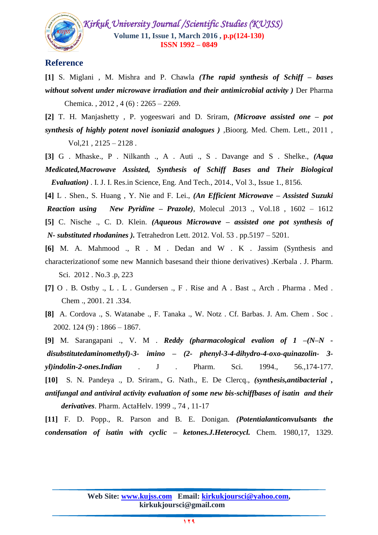

## **Reference**

**[1]** S. Miglani , M. Mishra and P. Chawla *(The rapid synthesis of Schiff – bases without solvent under microwave irradiation and their antimicrobial activity )* Der Pharma Chemica. , 2012 , 4 (6) : 2265 – 2269.

**[2]** T. H. Manjashetty , P. yogeeswari and D. Sriram, *(Microave assisted one – pot synthesis of highly potent novel isoniazid analogues )* ,Bioorg. Med. Chem. Lett., 2011 , Vol,21 , 2125 – 2128 .

**[3]** G . Mhaske., P . Nilkanth ., A . Auti ., S . Davange and S . Shelke., *(Aqua Medicated,Macrowave Assisted, Synthesis of Schiff Bases and Their Biological Evaluation)* . I. J. I. Res.in Science, Eng. And Tech., 2014., Vol 3., Issue 1., 8156.

**[4]** L . Shen., S. Huang , Y. Nie and F. Lei., *(An Efficient Microwave – Assisted Suzuki Reaction using New Pyridine – Prazole)*, Molecul .2013 ., Vol.18 , 1602 – 1612 **[5]** C. Nische ., C. D. Klein. *(Aqueous Microwave – assisted one pot synthesis of N- substituted rhodanines ).* Tetrahedron Lett. 2012. Vol. 53 . pp.5197 – 5201.

**[6]** M. A. Mahmood ., R . M . Dedan and W . K . Jassim (Synthesis and characterizationof some new Mannich basesand their thione derivatives) .Kerbala . J. Pharm. Sci. 2012 . No.3 .p, 223

- **[7]** O . B. Ostby ., L . L . Gundersen ., F . Rise and A . Bast ., Arch . Pharma . Med . Chem ., 2001. 21 .334.
- **[8]** A. Cordova ., S. Watanabe ., F. Tanaka ., W. Notz . Cf. Barbas. J. Am. Chem . Soc . 2002. 124 (9) : 1866 – 1867.

**[9]** M. Sarangapani ., V. M . *Reddy (pharmacological evalion of 1 –(N–N disubstitutedaminomethyl)-3- imino – (2- phenyl-3-4-dihydro-4-oxo-quinazolin- 3 yl)indolin-2-ones.Indian* . J . Pharm. Sci. 1994., 56.,174-177. **[10]** S. N. Pandeya ., D. Sriram., G. Nath., E. De Clercq., *(synthesis,antibacterial , antifungal and antiviral activity evaluation of some new bis-schiffbases of isatin and their derivatives*. Pharm. ActaHelv. 1999 ., 74 , 11-17

**[11]** F. D. Popp., R. Parson and B. E. Donigan. *(Potentialanticonvulsants the condensation of isatin with cyclic – ketones.J.Heterocycl.* Chem. 1980,17, 1329.